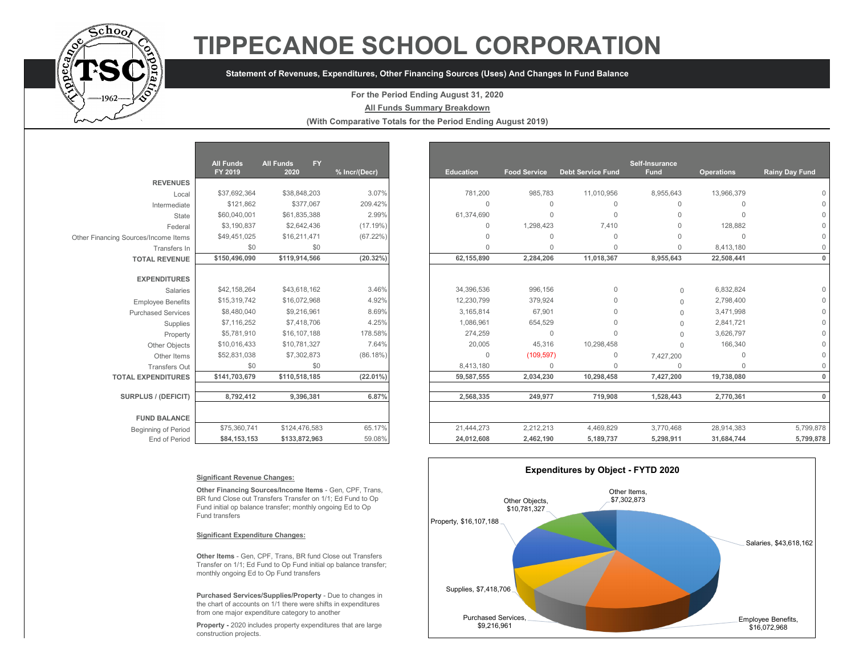

# **TIPPECANOE SCHOOL CORPORATION**

#### **Statement of Revenues, Expenditures, Other Financing Sources (Uses) And Changes In Fund Balance**

#### **For the Period Ending August 31, 2020**

#### **All Funds Summary Breakdown**

**(With Comparative Totals for the Period Ending August 2019)**

|                                      | <b>All Funds</b> | <b>All Funds</b><br><b>FY</b> |               |
|--------------------------------------|------------------|-------------------------------|---------------|
|                                      | FY 2019          | 2020                          | % Incr/(Decr) |
| <b>REVENUES</b>                      |                  |                               |               |
| Local                                | \$37,692,364     | \$38,848,203                  | 3.07%         |
| Intermediate                         | \$121.862        | \$377,067                     | 209.42%       |
| State                                | \$60,040,001     | \$61,835,388                  | 2.99%         |
| Federal                              | \$3,190,837      | \$2,642,436                   | (17.19%)      |
| Other Financing Sources/Income Items | \$49,451,025     | \$16,211,471                  | (67.22%)      |
| Transfers In                         | \$0              | \$0                           |               |
| <b>TOTAL REVENUE</b>                 | \$150,496,090    | \$119,914,566                 | $(20.32\%)$   |
|                                      |                  |                               |               |
| <b>EXPENDITURES</b>                  |                  |                               |               |
| Salaries                             | \$42,158,264     | \$43,618,162                  | 3.46%         |
| <b>Employee Benefits</b>             | \$15,319,742     | \$16,072,968                  | 4.92%         |
| <b>Purchased Services</b>            | \$8,480,040      | \$9,216,961                   | 8.69%         |
| Supplies                             | \$7,116,252      | \$7,418,706                   | 4.25%         |
| Property                             | \$5,781,910      | \$16,107,188                  | 178.58%       |
| Other Objects                        | \$10,016,433     | \$10,781,327                  | 7.64%         |
| Other Items                          | \$52,831,038     | \$7,302,873                   | $(86.18\%)$   |
| <b>Transfers Out</b>                 | \$0              | \$0                           |               |
| <b>TOTAL EXPENDITURES</b>            | \$141,703,679    | \$110,518,185                 | $(22.01\%)$   |
|                                      |                  |                               |               |
| <b>SURPLUS / (DEFICIT)</b>           | 8,792,412        | 9,396,381                     | 6.87%         |
|                                      |                  |                               |               |
| <b>FUND BALANCE</b>                  |                  |                               |               |
| Beginning of Period                  | \$75,360,741     | \$124,476,583                 | 65.17%        |
| End of Period                        | \$84,153,153     | \$133,872,963                 | 59.08%        |

|                                      | <b>All Funds</b><br>FY 2019 | <b>FY</b><br><b>All Funds</b><br>2020 | % Incr/(Decr) |
|--------------------------------------|-----------------------------|---------------------------------------|---------------|
| <b>REVENUES</b>                      |                             |                                       |               |
| Local                                | \$37,692,364                | \$38,848,203                          | 3.07%         |
| Intermediate                         | \$121,862                   | \$377,067                             | 209.42%       |
| State                                | \$60,040,001                | \$61,835,388                          | 2.99%         |
| Federal                              | \$3,190,837                 | \$2,642,436                           | (17.19%)      |
| Other Financing Sources/Income Items | \$49,451,025                | \$16,211,471                          | $(67.22\%)$   |
| Transfers In                         | \$0                         | \$0                                   |               |
| <b>TOTAL REVENUE</b>                 | \$150,496,090               | \$119,914,566                         | $(20.32\%)$   |
|                                      |                             |                                       |               |
| <b>EXPENDITURES</b>                  |                             |                                       |               |
| Salaries                             | \$42,158,264                | \$43,618,162                          | 3.46%         |
| <b>Employee Benefits</b>             | \$15,319,742                | \$16,072,968                          | 4.92%         |
| <b>Purchased Services</b>            | \$8,480,040                 | \$9,216,961                           | 8.69%         |
| Supplies                             | \$7,116,252                 | \$7,418,706                           | 4.25%         |
| Property                             | \$5,781,910                 | \$16,107,188                          | 178.58%       |
| Other Objects                        | \$10,016,433                | \$10,781,327                          | 7.64%         |
| Other Items                          | \$52,831,038                | \$7,302,873                           | $(86.18\%)$   |
| <b>Transfers Out</b>                 | \$0                         | \$0                                   |               |
| <b>TOTAL EXPENDITURES</b>            | \$141,703,679               | \$110,518,185                         | $(22.01\%)$   |
|                                      |                             |                                       |               |
| SURPLUS / (DEFICIT)                  | 8,792,412                   | 9,396,381                             | 6.87%         |
| <b>FUND BALANCE</b>                  |                             |                                       |               |
| <b>Beginning of Period</b>           | \$75,360,741                | \$124,476,583                         | 65.17%        |
| End of Period                        | \$84,153,153                | \$133,872,963                         | 59.08%        |

#### **Significant Revenue Changes:**

**Other Financing Sources/Income Items** - Gen, CPF, Trans, BR fund Close out Transfers Transfer on 1/1; Ed Fund to Op Fund initial op balance transfer; monthly ongoing Ed to Op Fund transfers

#### **Significant Expenditure Changes:**

**Other Items** - Gen, CPF, Trans, BR fund Close out Transfers Transfer on 1/1; Ed Fund to Op Fund initial op balance transfer; monthly ongoing Ed to Op Fund transfers

**Purchased Services/Supplies/Property** - Due to changes in the chart of accounts on 1/1 there were shifts in expenditures from one major expenditure category to another

**Property -** 2020 includes property expenditures that are large construction projects.

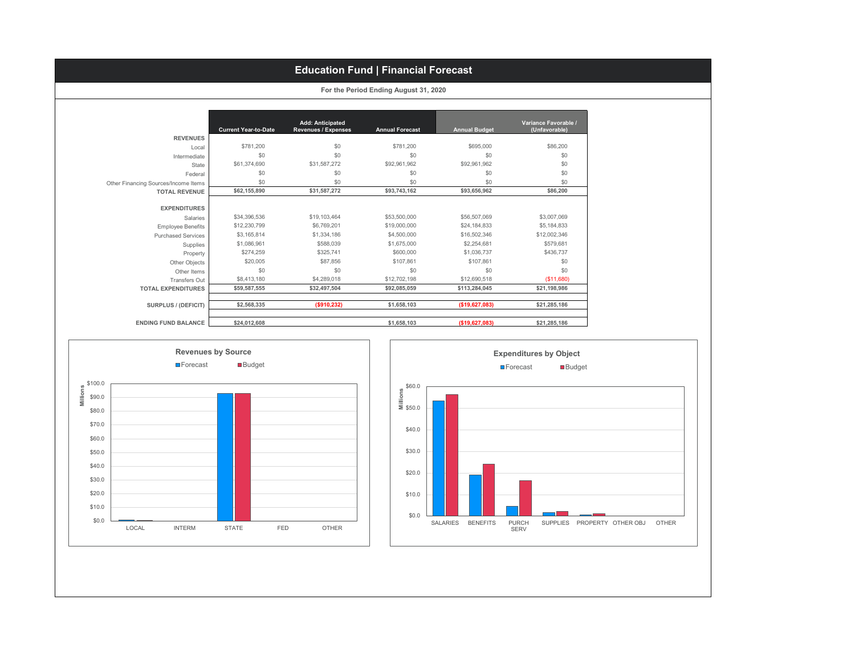## **Education Fund | Financial Forecast**

|                                      | <b>Current Year-to-Date</b> | Add: Anticipated<br><b>Revenues / Expenses</b> | <b>Annual Forecast</b> | <b>Annual Budget</b> | Variance Favorable /<br>(Unfavorable) |
|--------------------------------------|-----------------------------|------------------------------------------------|------------------------|----------------------|---------------------------------------|
| <b>REVENUES</b>                      |                             |                                                |                        |                      |                                       |
| Local                                | \$781,200                   | \$0                                            | \$781,200              | \$695,000            | \$86,200                              |
| Intermediate                         | \$0                         | \$0                                            | \$0                    | \$0                  | \$0                                   |
| State                                | \$61,374,690                | \$31,587,272                                   | \$92,961,962           | \$92,961,962         | \$0                                   |
| Federal                              | \$0                         | \$0                                            | \$0                    | \$0                  | \$0                                   |
| Other Financing Sources/Income Items | \$0                         | \$0                                            | \$0                    | \$0                  | \$0                                   |
| <b>TOTAL REVENUE</b>                 | \$62,155,890                | \$31,587,272                                   | \$93,743,162           | \$93,656,962         | \$86,200                              |
| <b>EXPENDITURES</b>                  |                             |                                                |                        |                      |                                       |
| Salaries                             | \$34,396,536                | \$19,103,464                                   | \$53,500,000           | \$56,507,069         | \$3,007,069                           |
| <b>Employee Benefits</b>             | \$12,230,799                | \$6,769,201                                    | \$19,000,000           | \$24,184,833         | \$5,184,833                           |
| <b>Purchased Services</b>            | \$3,165,814                 | \$1,334,186                                    | \$4,500,000            | \$16,502,346         | \$12,002,346                          |
| Supplies                             | \$1,086,961                 | \$588,039                                      | \$1,675,000            | \$2,254,681          | \$579.681                             |
| Property                             | \$274.259                   | \$325,741                                      | \$600,000              | \$1,036,737          | \$436,737                             |
| Other Objects                        | \$20,005                    | \$87,856                                       | \$107.861              | \$107.861            | \$0                                   |
| Other Items                          | \$0                         | \$0                                            | \$0                    | \$0                  | \$0                                   |
| Transfers Out                        | \$8,413,180                 | \$4,289,018                                    | \$12,702.198           | \$12,690,518         | (\$11,680)                            |
| <b>TOTAL EXPENDITURES</b>            | \$59,587,555                | \$32,497,504                                   | \$92,085,059           | \$113,284,045        | \$21,198,986                          |
| SURPLUS / (DEFICIT)                  | \$2,568,335                 | ( \$910, 232)                                  | \$1,658,103            | (\$19,627,083)       | \$21.285.186                          |
| <b>ENDING FUND BALANCE</b>           | \$24.012.608                |                                                | \$1,658,103            | (\$19,627,083)       | \$21.285.186                          |



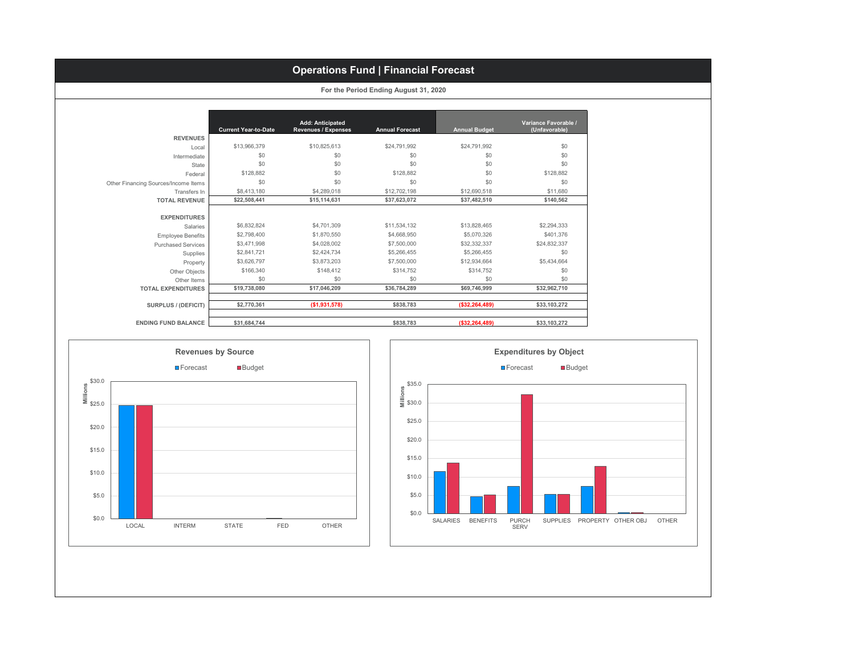## **Operations Fund | Financial Forecast**

| For the Period Ending August 31, 2020 |  |
|---------------------------------------|--|
|---------------------------------------|--|

|                                      | <b>Current Year-to-Date</b> | <b>Add: Anticipated</b><br><b>Revenues / Expenses</b> | <b>Annual Forecast</b> | <b>Annual Budget</b> | Variance Favorable /<br>(Unfavorable) |
|--------------------------------------|-----------------------------|-------------------------------------------------------|------------------------|----------------------|---------------------------------------|
| <b>REVENUES</b>                      |                             |                                                       |                        |                      |                                       |
| Local                                | \$13,966,379                | \$10,825,613                                          | \$24,791,992           | \$24,791,992         | \$0                                   |
| Intermediate                         | \$0                         | \$0                                                   | \$0                    | \$0                  | \$0                                   |
| State                                | \$0                         | \$0                                                   | \$0                    | \$0                  | \$0                                   |
| Federal                              | \$128,882                   | \$0                                                   | \$128,882              | \$0                  | \$128,882                             |
| Other Financing Sources/Income Items | \$0                         | \$0                                                   | \$0                    | \$0                  | \$0                                   |
| Transfers In                         | \$8,413,180                 | \$4,289,018                                           | \$12,702.198           | \$12,690,518         | \$11,680                              |
| <b>TOTAL REVENUE</b>                 | \$22,508,441                | \$15,114,631                                          | \$37,623,072           | \$37,482,510         | \$140,562                             |
|                                      |                             |                                                       |                        |                      |                                       |
| <b>EXPENDITURES</b>                  |                             |                                                       |                        |                      |                                       |
| Salaries                             | \$6,832,824                 | \$4,701.309                                           | \$11.534.132           | \$13,828,465         | \$2,294.333                           |
| <b>Employee Benefits</b>             | \$2,798,400                 | \$1,870,550                                           | \$4,668,950            | \$5,070,326          | \$401.376                             |
| <b>Purchased Services</b>            | \$3,471,998                 | \$4,028,002                                           | \$7,500,000            | \$32,332,337         | \$24,832,337                          |
| Supplies                             | \$2,841,721                 | \$2,424,734                                           | \$5,266,455            | \$5,266,455          | \$0                                   |
| Property                             | \$3,626,797                 | \$3,873,203                                           | \$7,500,000            | \$12,934,664         | \$5,434,664                           |
| Other Objects                        | \$166,340                   | \$148.412                                             | \$314,752              | \$314,752            | \$0                                   |
| Other Items                          | \$0                         | \$0                                                   | \$0                    | \$0                  | \$0                                   |
| <b>TOTAL EXPENDITURES</b>            | \$19,738,080                | \$17,046,209                                          | \$36,784,289           | \$69,746,999         | \$32,962,710                          |
|                                      |                             |                                                       |                        |                      |                                       |
| SURPLUS / (DEFICIT)                  | \$2,770,361                 | (\$1,931,578)                                         | \$838.783              | (\$32,264,489)       | \$33,103,272                          |
|                                      |                             |                                                       |                        |                      |                                       |
| <b>ENDING FUND BALANCE</b>           | \$31,684,744                |                                                       | \$838,783              | ( \$32, 264, 489)    | \$33.103.272                          |



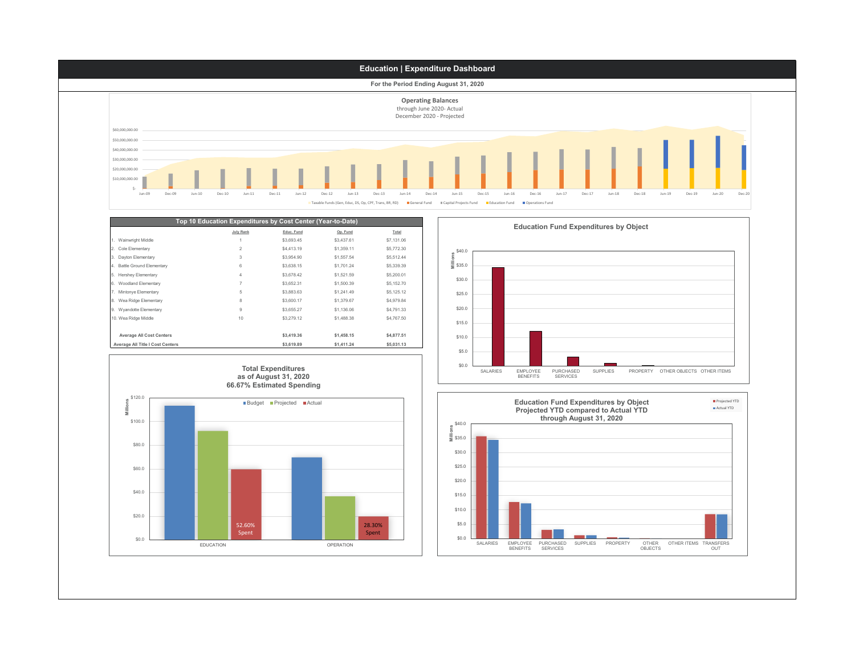

|                                  | Top 10 Education Expenditures by Cost Center (Year-to-Date) |            |            |            |
|----------------------------------|-------------------------------------------------------------|------------|------------|------------|
|                                  | <b>July Rank</b>                                            | Educ. Fund | Op. Fund   | Total      |
| 1. Wainwright Middle             |                                                             | \$3,693.45 | \$3,437.61 | \$7,131.06 |
| Cole Elementary<br>2.            | $\overline{2}$                                              | \$4,413.19 | \$1,359.11 | \$5,772.30 |
| 3. Dayton Elementary             | 3                                                           | \$3,954.90 | \$1,557.54 | \$5,512.44 |
| 4. Battle Ground Elementary      | 6                                                           | \$3,638.15 | \$1,701.24 | \$5,339.39 |
| 5. Hershey Elementary            | 4                                                           | \$3,678.42 | \$1,521.59 | \$5,200.01 |
| 6. Woodland Elementary           | 7                                                           | \$3,652.31 | \$1,500.39 | \$5,152.70 |
| 7. Mintonye Elementary           | 5                                                           | \$3,883.63 | \$1,241.49 | \$5,125.12 |
| 8. Wea Ridge Elementary          | 8                                                           | \$3,600.17 | \$1,379.67 | \$4,979.84 |
| 9. Wyandotte Elementary          | 9                                                           | \$3,655.27 | \$1,136.06 | \$4,791.33 |
| 10. Wea Ridge Middle             | 10                                                          | \$3,279.12 | \$1,488.38 | \$4,767.50 |
|                                  |                                                             |            |            |            |
| <b>Average All Cost Centers</b>  |                                                             | \$3,419.36 | \$1,458.15 | \$4,877.51 |
| Average All Title I Cost Centers |                                                             | \$3,619.89 | \$1,411.24 | \$5,031.13 |
|                                  |                                                             |            |            |            |